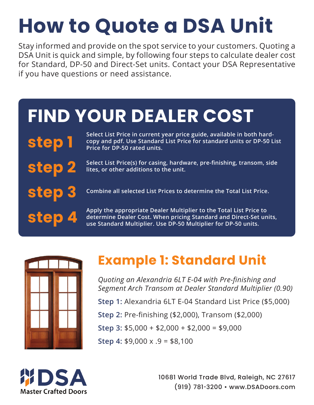# **How to Quote a DSA Unit**

Stay informed and provide on the spot service to your customers. Quoting a DSA Unit is quick and simple, by following four steps to calculate dealer cost for Standard, DP-50 and Direct-Set units. Contact your DSA Representative if you have questions or need assistance.

## **FIND YOUR DEALER COST**

**step 1 Select List Price in current year price guide, available in both hardcopy and pdf. Use Standard List Price for standard units or DP-50 List Price for DP-50 rated units.** 

> **Select List Price(s) for casing, hardware, pre-finishing, transom, side lites, or other additions to the unit.**

**Combine all selected List Prices to determine the Total List Price.**

**Apply the appropriate Dealer Multiplier to the Total List Price to determine Dealer Cost. When pricing Standard and Direct-Set units, use Standard Multiplier. Use DP-50 Multiplier for DP-50 units.**



**step 2**

**step 3**

**step 4**

#### **Example 1: Standard Unit**

*Quoting an Alexandria 6LT E-04 with Pre-finishing and Segment Arch Transom at Dealer Standard Multiplier (0.90)*

**Step 1:** Alexandria 6LT E-04 Standard List Price (\$5,000)

**Step 2:** Pre-finishing (\$2,000), Transom (\$2,000)

**Step 3:** \$5,000 + \$2,000 + \$2,000 = \$9,000

**Step 4:** \$9,000 x .9 = \$8,100



10681 World Trade Blvd, Raleigh, NC 27617 (919) 781-3200 • www.DSADoors.com